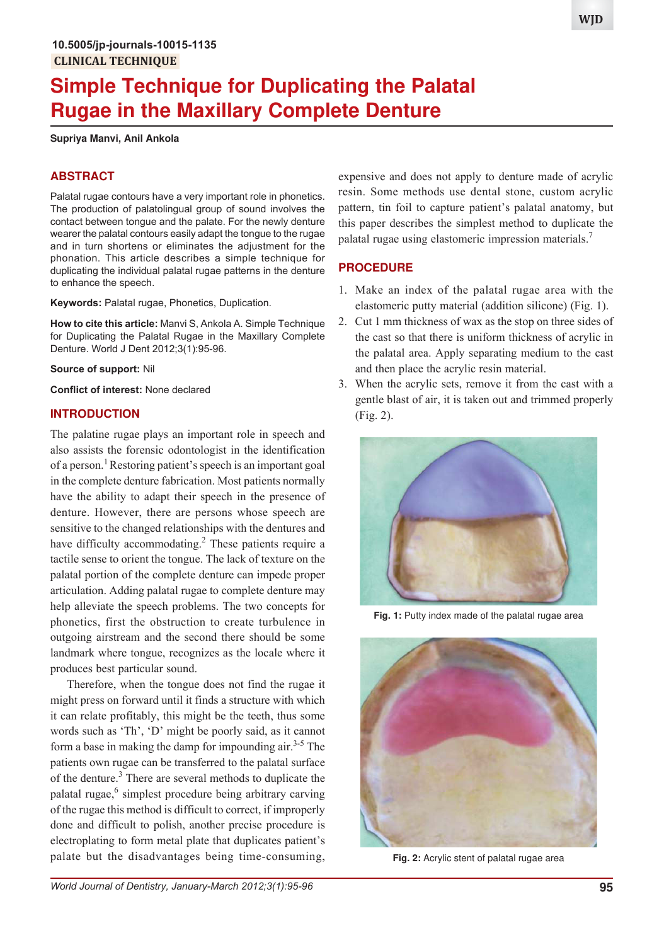# **Simple Technique for Duplicating the Palatal Rugae in the Maxillary Complete Denture**

#### **Supriya Manvi, Anil Ankola**

## **ABSTRACT**

Palatal rugae contours have a very important role in phonetics. The production of palatolingual group of sound involves the contact between tongue and the palate. For the newly denture wearer the palatal contours easily adapt the tongue to the rugae and in turn shortens or eliminates the adjustment for the phonation. This article describes a simple technique for duplicating the individual palatal rugae patterns in the denture to enhance the speech.

**Keywords:** Palatal rugae, Phonetics, Duplication.

**How to cite this article:** Manvi S, Ankola A. Simple Technique for Duplicating the Palatal Rugae in the Maxillary Complete Denture. World J Dent 2012;3(1):95-96.

#### **Source of support:** Nil

**Conflict of interest:** None declared

## **INTRODUCTION**

The palatine rugae plays an important role in speech and also assists the forensic odontologist in the identification of a person.<sup>1</sup> Restoring patient's speech is an important goal in the complete denture fabrication. Most patients normally have the ability to adapt their speech in the presence of denture. However, there are persons whose speech are sensitive to the changed relationships with the dentures and have difficulty accommodating.<sup>2</sup> These patients require a tactile sense to orient the tongue. The lack of texture on the palatal portion of the complete denture can impede proper articulation. Adding palatal rugae to complete denture may help alleviate the speech problems. The two concepts for phonetics, first the obstruction to create turbulence in outgoing airstream and the second there should be some landmark where tongue, recognizes as the locale where it produces best particular sound.

Therefore, when the tongue does not find the rugae it might press on forward until it finds a structure with which it can relate profitably, this might be the teeth, thus some words such as 'Th', 'D' might be poorly said, as it cannot form a base in making the damp for impounding air.<sup>3-5</sup> The patients own rugae can be transferred to the palatal surface of the denture.<sup>3</sup> There are several methods to duplicate the palatal rugae,<sup>6</sup> simplest procedure being arbitrary carving of the rugae this method is difficult to correct, if improperly done and difficult to polish, another precise procedure is electroplating to form metal plate that duplicates patient's palate but the disadvantages being time-consuming,

expensive and does not apply to denture made of acrylic resin. Some methods use dental stone, custom acrylic pattern, tin foil to capture patient's palatal anatomy, but this paper describes the simplest method to duplicate the palatal rugae using elastomeric impression materials.<sup>7</sup>

### **PROCEDURE**

- 1. Make an index of the palatal rugae area with the elastomeric putty material (addition silicone) (Fig. 1).
- 2. Cut 1 mm thickness of wax as the stop on three sides of the cast so that there is uniform thickness of acrylic in the palatal area. Apply separating medium to the cast and then place the acrylic resin material.
- 3. When the acrylic sets, remove it from the cast with a gentle blast of air, it is taken out and trimmed properly (Fig. 2).



**Fig. 1:** Putty index made of the palatal rugae area



**Fig. 2:** Acrylic stent of palatal rugae area